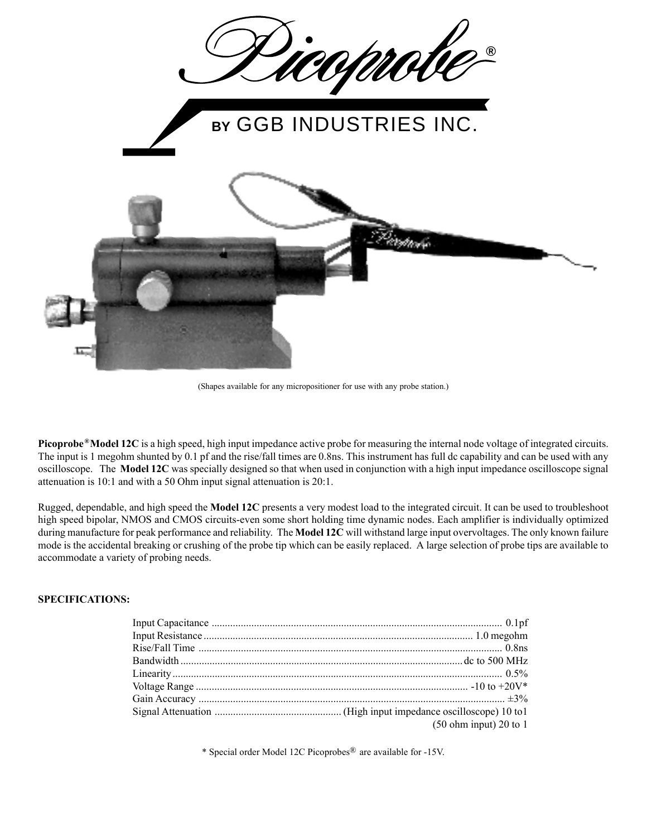

(Shapes available for any micropositioner for use with any probe station.)

**Picoprobe<sup>®</sup>Model 12C** is a high speed, high input impedance active probe for measuring the internal node voltage of integrated circuits. The input is 1 megohm shunted by 0.1 pf and the rise/fall times are 0.8ns. This instrument has full dc capability and can be used with any oscilloscope. The **Model 12C** was specially designed so that when used in conjunction with a high input impedance oscilloscope signal attenuation is 10:1 and with a 50 Ohm input signal attenuation is 20:1.

Rugged, dependable, and high speed the **Model 12C** presents a very modest load to the integrated circuit. It can be used to troubleshoot high speed bipolar, NMOS and CMOS circuits-even some short holding time dynamic nodes. Each amplifier is individually optimized during manufacture for peak performance and reliability. The **Model 12C** will withstand large input overvoltages. The only known failure mode is the accidental breaking or crushing of the probe tip which can be easily replaced. A large selection of probe tips are available to accommodate a variety of probing needs.

## **SPECIFICATIONS:**

| (50 ohm input) 20 to 1 |
|------------------------|

\* Special order Model 12C Picoprobes<sup>®</sup> are available for -15V.